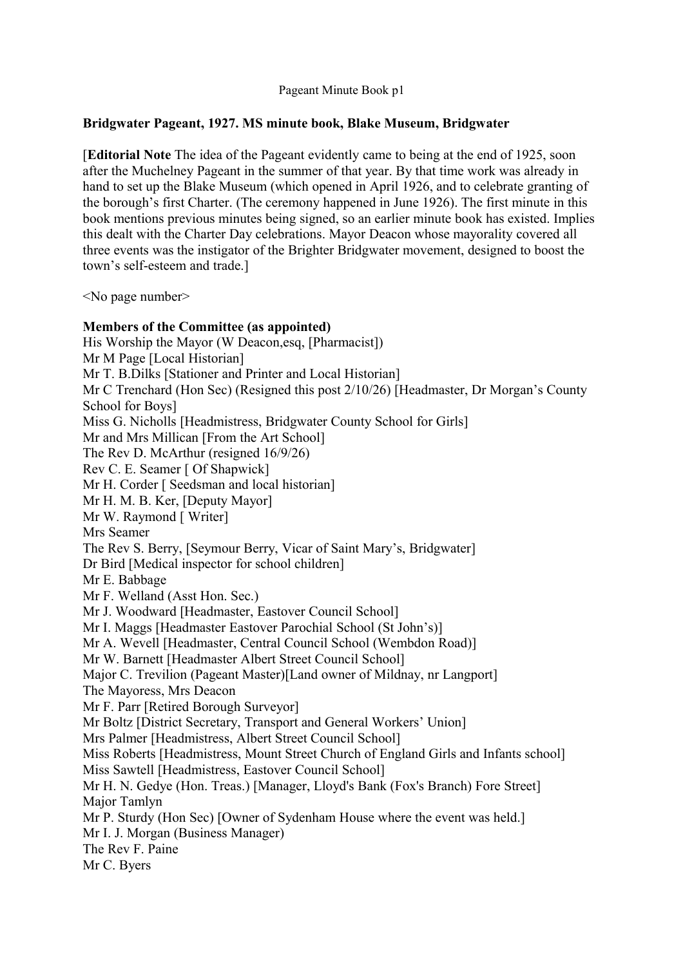### **Bridgwater Pageant, 1927. MS minute book, Blake Museum, Bridgwater**

[**Editorial Note** The idea of the Pageant evidently came to being at the end of 1925, soon after the Muchelney Pageant in the summer of that year. By that time work was already in hand to set up the Blake Museum (which opened in April 1926, and to celebrate granting of the borough's first Charter. (The ceremony happened in June 1926). The first minute in this book mentions previous minutes being signed, so an earlier minute book has existed. Implies this dealt with the Charter Day celebrations. Mayor Deacon whose mayorality covered all three events was the instigator of the Brighter Bridgwater movement, designed to boost the town's self-esteem and trade.]

<No page number>

### **Members of the Committee (as appointed)**

His Worship the Mayor (W Deacon,esq, [Pharmacist]) Mr M Page [Local Historian] Mr T. B.Dilks [Stationer and Printer and Local Historian] Mr C Trenchard (Hon Sec) (Resigned this post 2/10/26) [Headmaster, Dr Morgan's County School for Boys] Miss G. Nicholls [Headmistress, Bridgwater County School for Girls] Mr and Mrs Millican [From the Art School] The Rev D. McArthur (resigned 16/9/26) Rev C. E. Seamer [ Of Shapwick] Mr H. Corder [ Seedsman and local historian] Mr H. M. B. Ker, [Deputy Mayor] Mr W. Raymond [ Writer] Mrs Seamer The Rev S. Berry, [Seymour Berry, Vicar of Saint Mary's, Bridgwater] Dr Bird [Medical inspector for school children] Mr E. Babbage Mr F. Welland (Asst Hon. Sec.) Mr J. Woodward [Headmaster, Eastover Council School] Mr I. Maggs [Headmaster Eastover Parochial School (St John's)] Mr A. Wevell [Headmaster, Central Council School (Wembdon Road)] Mr W. Barnett [Headmaster Albert Street Council School] Major C. Trevilion (Pageant Master)[Land owner of Mildnay, nr Langport] The Mayoress, Mrs Deacon Mr F. Parr [Retired Borough Surveyor] Mr Boltz [District Secretary, Transport and General Workers' Union] Mrs Palmer [Headmistress, Albert Street Council School] Miss Roberts [Headmistress, Mount Street Church of England Girls and Infants school] Miss Sawtell [Headmistress, Eastover Council School] Mr H. N. Gedye (Hon. Treas.) [Manager, Lloyd's Bank (Fox's Branch) Fore Street] Major Tamlyn Mr P. Sturdy (Hon Sec) [Owner of Sydenham House where the event was held.] Mr I. J. Morgan (Business Manager) The Rev F. Paine Mr C. Byers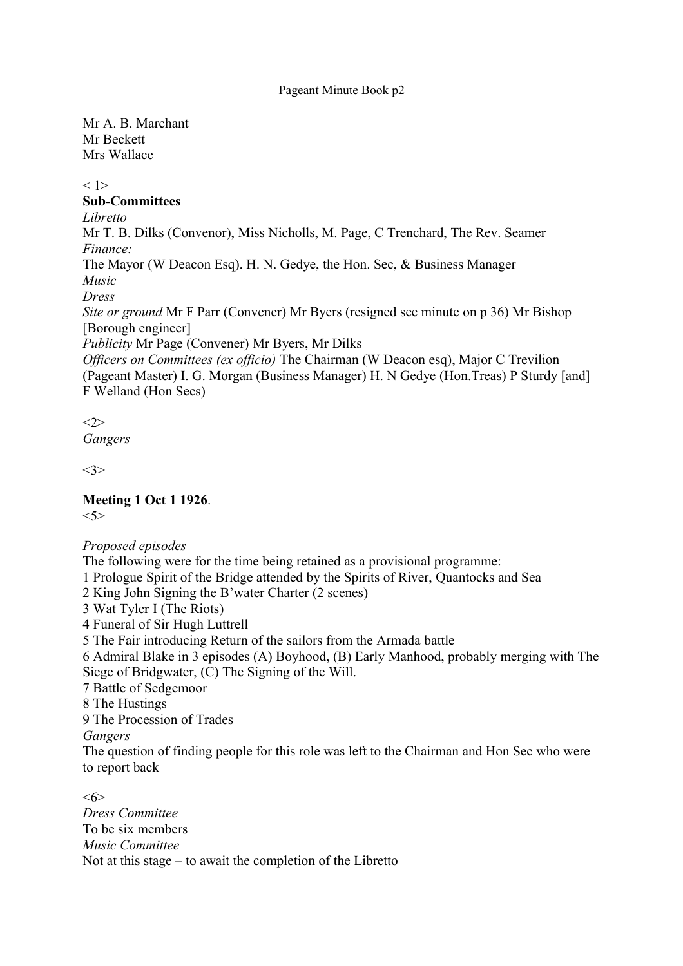Mr A. B. Marchant Mr Beckett Mrs Wallace

< 1>

### **Sub-Committees**

*Libretto*

Mr T. B. Dilks (Convenor), Miss Nicholls, M. Page, C Trenchard, The Rev. Seamer *Finance:*

The Mayor (W Deacon Esq). H. N. Gedye, the Hon. Sec, & Business Manager *Music*

*Dress*

*Site or ground* Mr F Parr (Convener) Mr Byers (resigned see minute on p 36) Mr Bishop [Borough engineer]

*Publicity* Mr Page (Convener) Mr Byers, Mr Dilks

*Officers on Committees (ex officio)* The Chairman (W Deacon esq), Major C Trevilion (Pageant Master) I. G. Morgan (Business Manager) H. N Gedye (Hon.Treas) P Sturdy [and] F Welland (Hon Secs)

 $\langle 2 \rangle$ 

*Gangers*

<3>

**Meeting 1 Oct 1 1926**. <5>

## *Proposed episodes*

The following were for the time being retained as a provisional programme:

1 Prologue Spirit of the Bridge attended by the Spirits of River, Quantocks and Sea

2 King John Signing the B'water Charter (2 scenes)

3 Wat Tyler I (The Riots)

4 Funeral of Sir Hugh Luttrell

5 The Fair introducing Return of the sailors from the Armada battle

6 Admiral Blake in 3 episodes (A) Boyhood, (B) Early Manhood, probably merging with The Siege of Bridgwater, (C) The Signing of the Will.

7 Battle of Sedgemoor

8 The Hustings

9 The Procession of Trades

*Gangers*

The question of finding people for this role was left to the Chairman and Hon Sec who were to report back

<6> *Dress Committee* To be six members *Music Committee* Not at this stage – to await the completion of the Libretto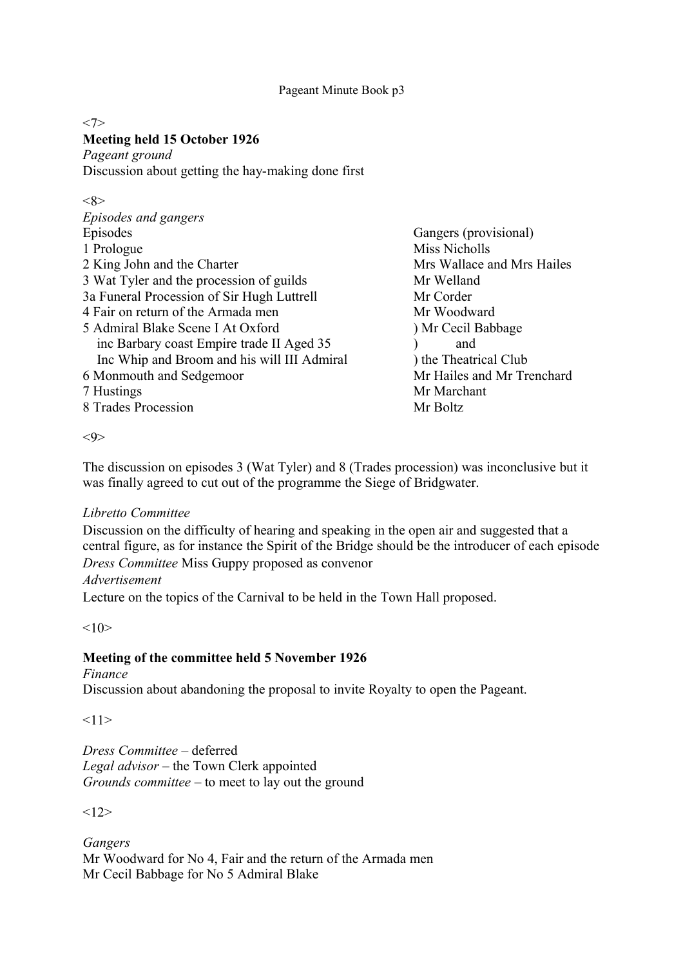#### $<7>$ **Meeting held 15 October 1926**

*Pageant ground* Discussion about getting the hay-making done first

## <8>

| Episodes and gangers                        |                            |
|---------------------------------------------|----------------------------|
| Episodes                                    | Gangers (provisional)      |
| 1 Prologue                                  | Miss Nicholls              |
| 2 King John and the Charter                 | Mrs Wallace and Mrs Hailes |
| 3 Wat Tyler and the procession of guilds    | Mr Welland                 |
| 3a Funeral Procession of Sir Hugh Luttrell  | Mr Corder                  |
| 4 Fair on return of the Armada men          | Mr Woodward                |
| 5 Admiral Blake Scene I At Oxford           | ) Mr Cecil Babbage         |
| inc Barbary coast Empire trade II Aged 35   | and                        |
| Inc Whip and Broom and his will III Admiral | ) the Theatrical Club      |
| 6 Monmouth and Sedgemoor                    | Mr Hailes and Mr Trenchard |
| 7 Hustings                                  | Mr Marchant                |
| 8 Trades Procession                         | Mr Boltz                   |

<9>

The discussion on episodes 3 (Wat Tyler) and 8 (Trades procession) was inconclusive but it was finally agreed to cut out of the programme the Siege of Bridgwater.

## *Libretto Committee*

Discussion on the difficulty of hearing and speaking in the open air and suggested that a central figure, as for instance the Spirit of the Bridge should be the introducer of each episode *Dress Committee* Miss Guppy proposed as convenor

*Advertisement*

Lecture on the topics of the Carnival to be held in the Town Hall proposed.

 $<10>$ 

## **Meeting of the committee held 5 November 1926**

*Finance* Discussion about abandoning the proposal to invite Royalty to open the Pageant.

 $<11>$ 

*Dress Committee* – deferred *Legal advisor* – the Town Clerk appointed *Grounds committee* – to meet to lay out the ground

 $<12>$ 

*Gangers* Mr Woodward for No 4, Fair and the return of the Armada men Mr Cecil Babbage for No 5 Admiral Blake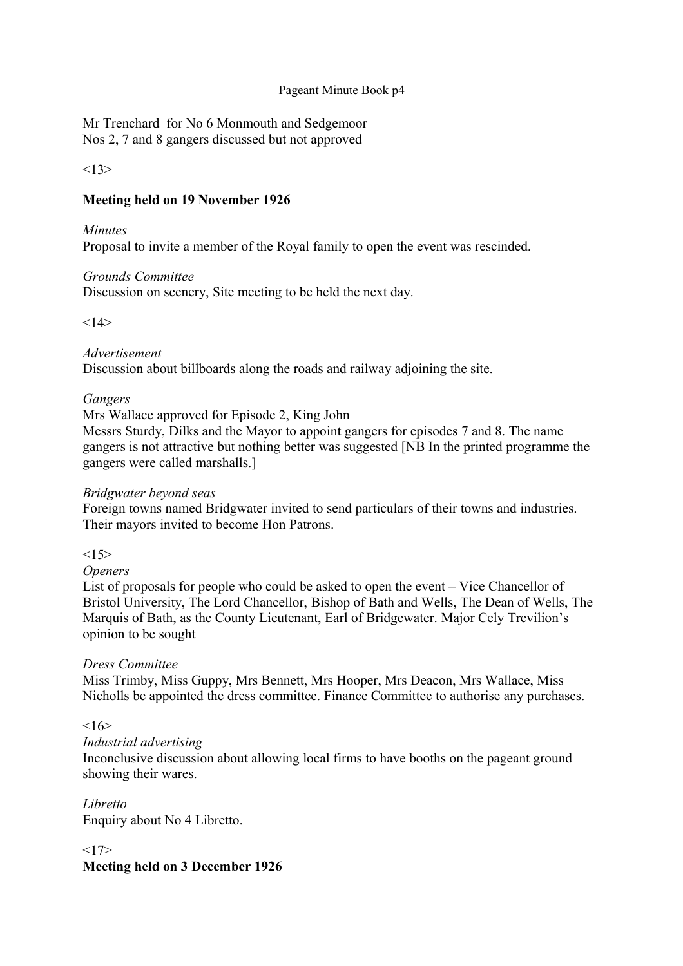Mr Trenchard for No 6 Monmouth and Sedgemoor Nos 2, 7 and 8 gangers discussed but not approved

 $<13>$ 

## **Meeting held on 19 November 1926**

### *Minutes*

Proposal to invite a member of the Royal family to open the event was rescinded.

### *Grounds Committee*

Discussion on scenery, Site meeting to be held the next day.

 $<14>$ 

### *Advertisement*

Discussion about billboards along the roads and railway adjoining the site.

### *Gangers*

Mrs Wallace approved for Episode 2, King John

Messrs Sturdy, Dilks and the Mayor to appoint gangers for episodes 7 and 8. The name gangers is not attractive but nothing better was suggested [NB In the printed programme the gangers were called marshalls.]

### *Bridgwater beyond seas*

Foreign towns named Bridgwater invited to send particulars of their towns and industries. Their mayors invited to become Hon Patrons.

 $<15>$ 

### *Openers*

List of proposals for people who could be asked to open the event – Vice Chancellor of Bristol University, The Lord Chancellor, Bishop of Bath and Wells, The Dean of Wells, The Marquis of Bath, as the County Lieutenant, Earl of Bridgewater. Major Cely Trevilion's opinion to be sought

### *Dress Committee*

Miss Trimby, Miss Guppy, Mrs Bennett, Mrs Hooper, Mrs Deacon, Mrs Wallace, Miss Nicholls be appointed the dress committee. Finance Committee to authorise any purchases.

### $\leq 16$

### *Industrial advertising*

Inconclusive discussion about allowing local firms to have booths on the pageant ground showing their wares.

*Libretto* Enquiry about No 4 Libretto.

 $<17>$ 

**Meeting held on 3 December 1926**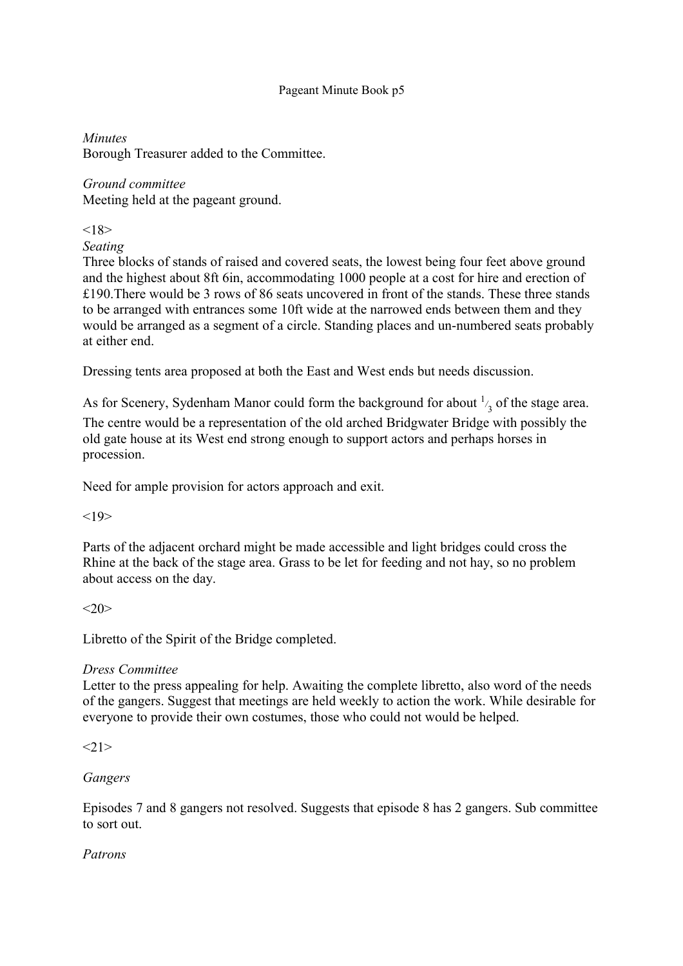*Minutes* 

Borough Treasurer added to the Committee.

# *Ground committee*

Meeting held at the pageant ground.

 $<18>$ 

*Seating*

Three blocks of stands of raised and covered seats, the lowest being four feet above ground and the highest about 8ft 6in, accommodating 1000 people at a cost for hire and erection of £190.There would be 3 rows of 86 seats uncovered in front of the stands. These three stands to be arranged with entrances some 10ft wide at the narrowed ends between them and they would be arranged as a segment of a circle. Standing places and un-numbered seats probably at either end.

Dressing tents area proposed at both the East and West ends but needs discussion.

As for Scenery, Sydenham Manor could form the background for about  $\frac{1}{3}$  of the stage area. The centre would be a representation of the old arched Bridgwater Bridge with possibly the old gate house at its West end strong enough to support actors and perhaps horses in procession.

Need for ample provision for actors approach and exit.

 $<19>$ 

Parts of the adjacent orchard might be made accessible and light bridges could cross the Rhine at the back of the stage area. Grass to be let for feeding and not hay, so no problem about access on the day.

 $<20>$ 

Libretto of the Spirit of the Bridge completed.

## *Dress Committee*

Letter to the press appealing for help. Awaiting the complete libretto, also word of the needs of the gangers. Suggest that meetings are held weekly to action the work. While desirable for everyone to provide their own costumes, those who could not would be helped.

 $<21>$ 

## *Gangers*

Episodes 7 and 8 gangers not resolved. Suggests that episode 8 has 2 gangers. Sub committee to sort out.

## *Patrons*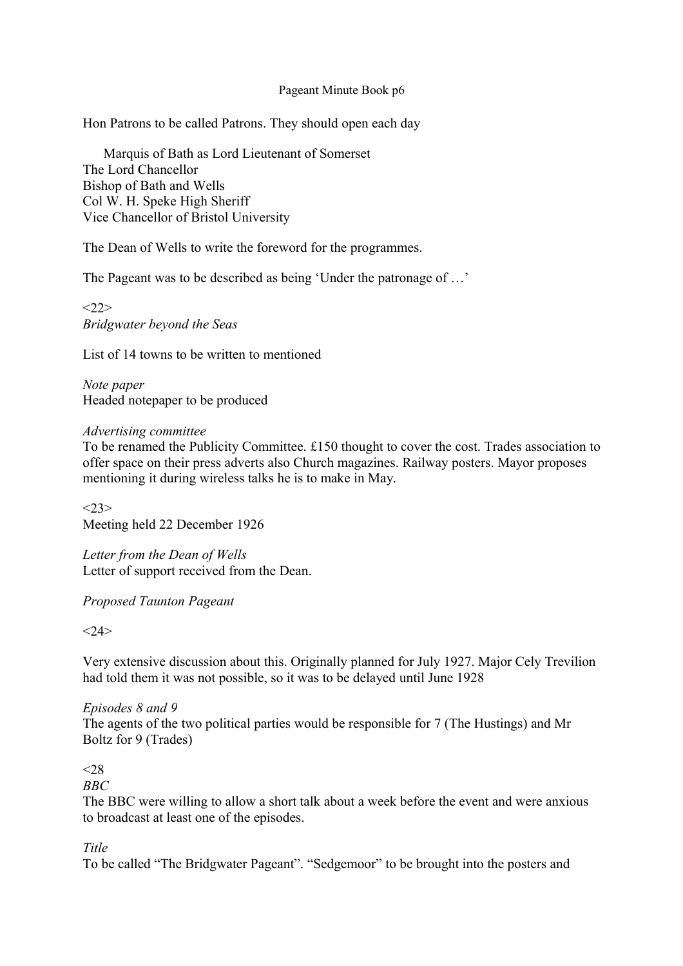Hon Patrons to be called Patrons. They should open each day

Marquis of Bath as Lord Lieutenant of Somerset The Lord Chancellor Bishop of Bath and Wells Col W. H. Speke High Sheriff Vice Chancellor of Bristol University

The Dean of Wells to write the foreword for the programmes.

The Pageant was to be described as being 'Under the patronage of …'

 $<22>$ *Bridgwater beyond the Seas*

List of 14 towns to be written to mentioned

*Note paper* Headed notepaper to be produced

### *Advertising committee*

To be renamed the Publicity Committee. £150 thought to cover the cost. Trades association to offer space on their press adverts also Church magazines. Railway posters. Mayor proposes mentioning it during wireless talks he is to make in May.

 $<23>$ Meeting held 22 December 1926

*Letter from the Dean of Wells* Letter of support received from the Dean.

*Proposed Taunton Pageant*

 $<24>$ 

Very extensive discussion about this. Originally planned for July 1927. Major Cely Trevilion had told them it was not possible, so it was to be delayed until June 1928

*Episodes 8 and 9* The agents of the two political parties would be responsible for 7 (The Hustings) and Mr Boltz for 9 (Trades)

## $< 28$

*BBC*

The BBC were willing to allow a short talk about a week before the event and were anxious to broadcast at least one of the episodes.

*Title*

To be called "The Bridgwater Pageant". "Sedgemoor" to be brought into the posters and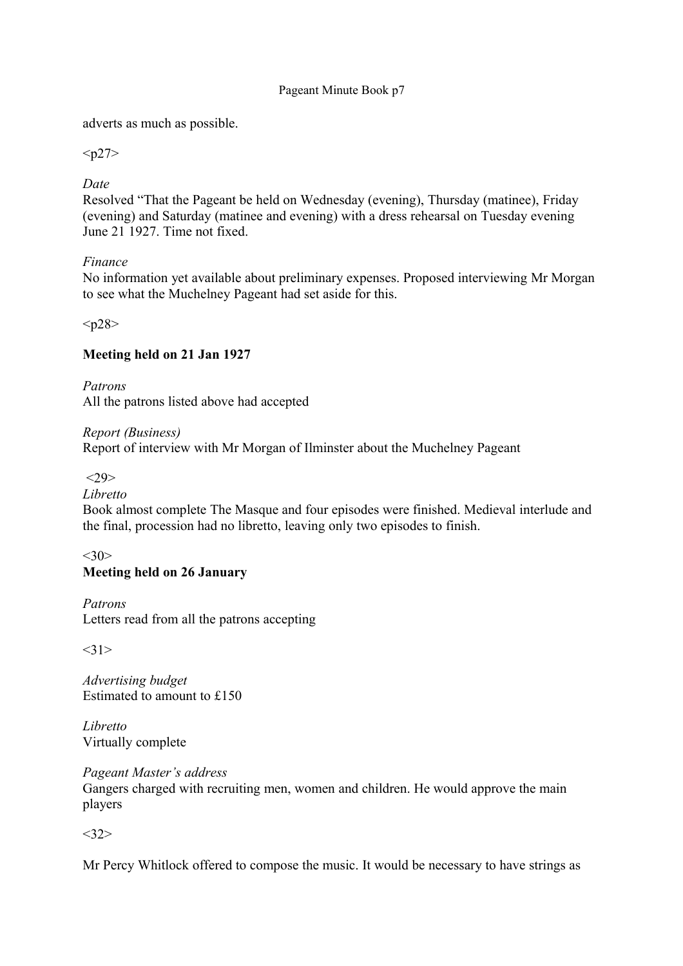adverts as much as possible.

 $< p27$ 

*Date*

Resolved "That the Pageant be held on Wednesday (evening), Thursday (matinee), Friday (evening) and Saturday (matinee and evening) with a dress rehearsal on Tuesday evening June 21 1927. Time not fixed.

## *Finance*

No information yet available about preliminary expenses. Proposed interviewing Mr Morgan to see what the Muchelney Pageant had set aside for this.

 $<sub>p28</sub>$ </sub>

## **Meeting held on 21 Jan 1927**

*Patrons* All the patrons listed above had accepted

*Report (Business)* Report of interview with Mr Morgan of Ilminster about the Muchelney Pageant

 $<29$ 

*Libretto*

Book almost complete The Masque and four episodes were finished. Medieval interlude and the final, procession had no libretto, leaving only two episodes to finish.

#### $<30>$ **Meeting held on 26 January**

*Patrons*

Letters read from all the patrons accepting

 $<31>$ 

*Advertising budget* Estimated to amount to £150

*Libretto* Virtually complete

*Pageant Master's address* Gangers charged with recruiting men, women and children. He would approve the main players

 $<32>$ 

Mr Percy Whitlock offered to compose the music. It would be necessary to have strings as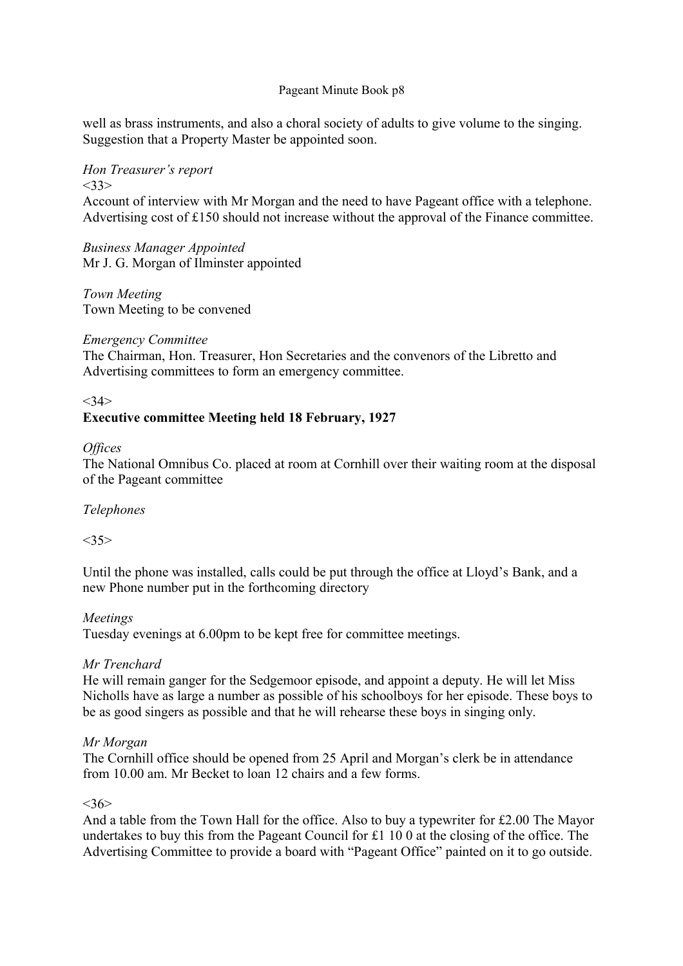well as brass instruments, and also a choral society of adults to give volume to the singing. Suggestion that a Property Master be appointed soon.

#### *Hon Treasurer's report*   $<33>$

Account of interview with Mr Morgan and the need to have Pageant office with a telephone. Advertising cost of £150 should not increase without the approval of the Finance committee.

*Business Manager Appointed* Mr J. G. Morgan of Ilminster appointed

*Town Meeting* Town Meeting to be convened

## *Emergency Committee*

The Chairman, Hon. Treasurer, Hon Secretaries and the convenors of the Libretto and Advertising committees to form an emergency committee.

## $<34>$

## **Executive committee Meeting held 18 February, 1927**

### *Offices*

The National Omnibus Co. placed at room at Cornhill over their waiting room at the disposal of the Pageant committee

## *Telephones*

 $<$ 35 $>$ 

Until the phone was installed, calls could be put through the office at Lloyd's Bank, and a new Phone number put in the forthcoming directory

## *Meetings*

Tuesday evenings at 6.00pm to be kept free for committee meetings.

## *Mr Trenchard*

He will remain ganger for the Sedgemoor episode, and appoint a deputy. He will let Miss Nicholls have as large a number as possible of his schoolboys for her episode. These boys to be as good singers as possible and that he will rehearse these boys in singing only.

## *Mr Morgan*

The Cornhill office should be opened from 25 April and Morgan's clerk be in attendance from 10.00 am. Mr Becket to loan 12 chairs and a few forms.

### $<36>$

And a table from the Town Hall for the office. Also to buy a typewriter for £2.00 The Mayor undertakes to buy this from the Pageant Council for £1 10 0 at the closing of the office. The Advertising Committee to provide a board with "Pageant Office" painted on it to go outside.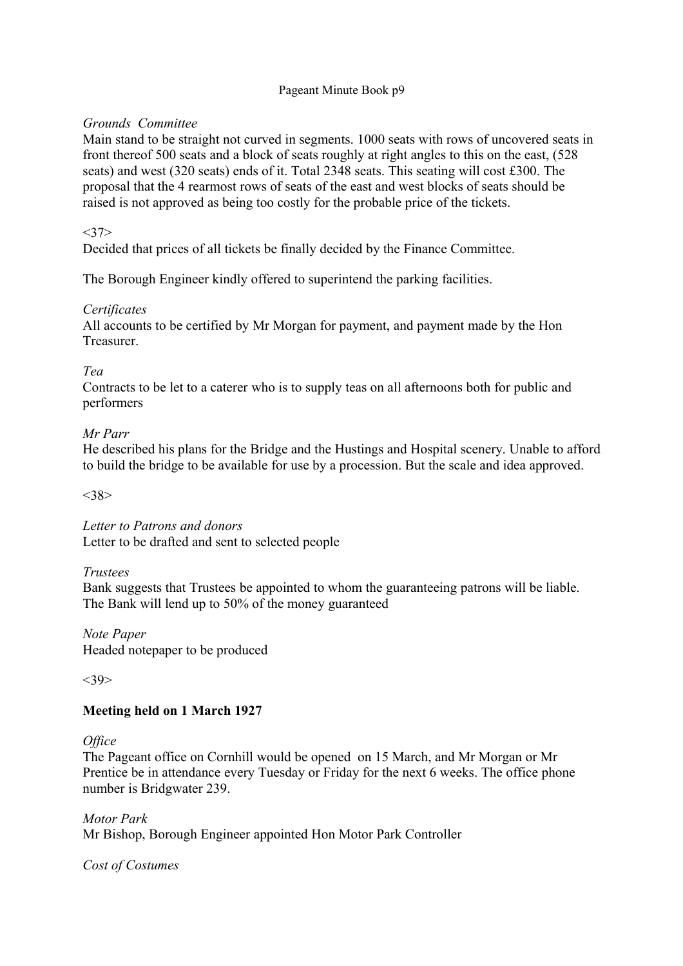## *Grounds Committee*

Main stand to be straight not curved in segments. 1000 seats with rows of uncovered seats in front thereof 500 seats and a block of seats roughly at right angles to this on the east, (528 seats) and west (320 seats) ends of it. Total 2348 seats. This seating will cost £300. The proposal that the 4 rearmost rows of seats of the east and west blocks of seats should be raised is not approved as being too costly for the probable price of the tickets.

 $<37>$ 

Decided that prices of all tickets be finally decided by the Finance Committee.

The Borough Engineer kindly offered to superintend the parking facilities.

## *Certificates*

All accounts to be certified by Mr Morgan for payment, and payment made by the Hon Treasurer.

*Tea*

Contracts to be let to a caterer who is to supply teas on all afternoons both for public and performers

## *Mr Parr*

He described his plans for the Bridge and the Hustings and Hospital scenery. Unable to afford to build the bridge to be available for use by a procession. But the scale and idea approved.

 $<38>$ 

*Letter to Patrons and donors* Letter to be drafted and sent to selected people

### *Trustees*

Bank suggests that Trustees be appointed to whom the guaranteeing patrons will be liable. The Bank will lend up to 50% of the money guaranteed

*Note Paper* Headed notepaper to be produced

 $<39>$ 

## **Meeting held on 1 March 1927**

### *Office*

The Pageant office on Cornhill would be opened on 15 March, and Mr Morgan or Mr Prentice be in attendance every Tuesday or Friday for the next 6 weeks. The office phone number is Bridgwater 239.

*Motor Park* Mr Bishop, Borough Engineer appointed Hon Motor Park Controller

*Cost of Costumes*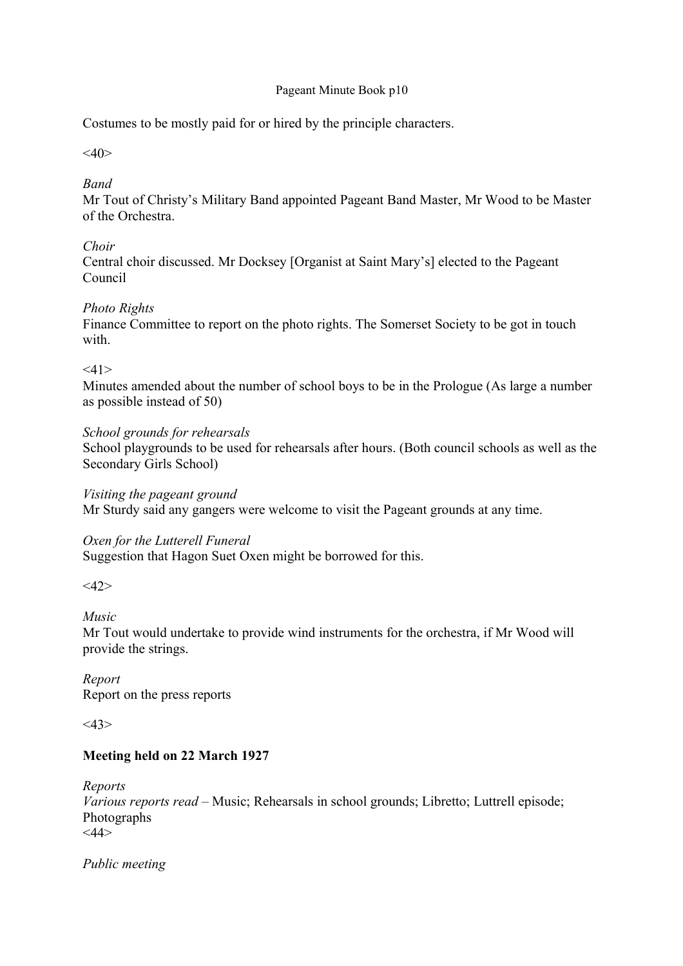Costumes to be mostly paid for or hired by the principle characters.

 $<\!\!40\!\!>$ 

## *Band*

Mr Tout of Christy's Military Band appointed Pageant Band Master, Mr Wood to be Master of the Orchestra.

## *Choir*

Central choir discussed. Mr Docksey [Organist at Saint Mary's] elected to the Pageant Council

## *Photo Rights*

Finance Committee to report on the photo rights. The Somerset Society to be got in touch with

 $<11>$ 

Minutes amended about the number of school boys to be in the Prologue (As large a number as possible instead of 50)

## *School grounds for rehearsals*

School playgrounds to be used for rehearsals after hours. (Both council schools as well as the Secondary Girls School)

*Visiting the pageant ground*

Mr Sturdy said any gangers were welcome to visit the Pageant grounds at any time.

## *Oxen for the Lutterell Funeral*

Suggestion that Hagon Suet Oxen might be borrowed for this.

 $<\!\!42\!\!>$ 

## *Music*

Mr Tout would undertake to provide wind instruments for the orchestra, if Mr Wood will provide the strings.

*Report* Report on the press reports

 $<\!\!43\!\!>$ 

## **Meeting held on 22 March 1927**

*Reports Various reports read* – Music; Rehearsals in school grounds; Libretto; Luttrell episode; Photographs <44>

*Public meeting*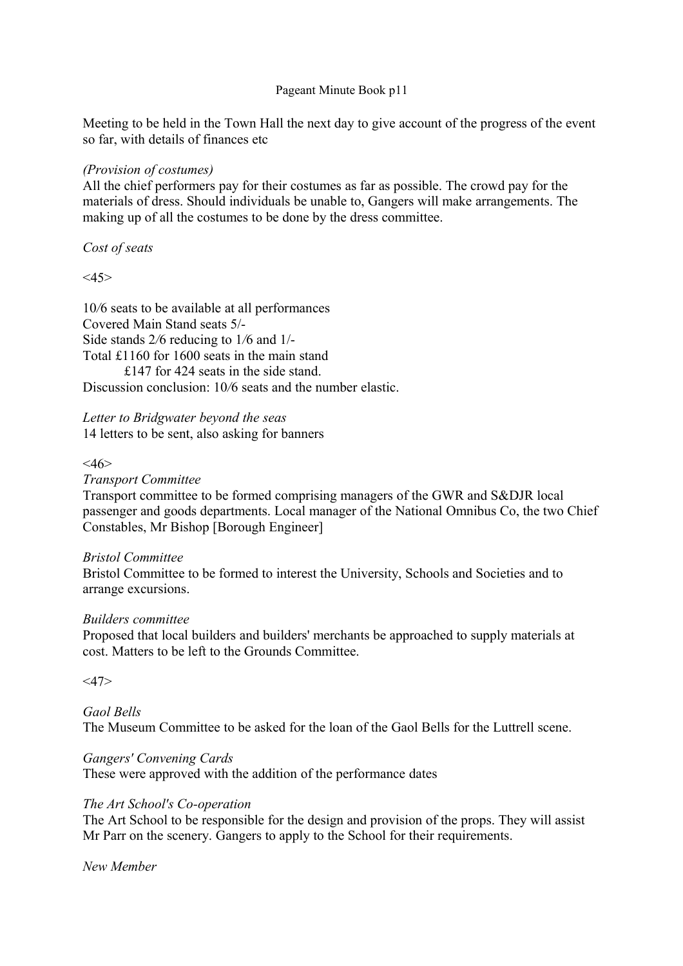Meeting to be held in the Town Hall the next day to give account of the progress of the event so far, with details of finances etc

## *(Provision of costumes)*

All the chief performers pay for their costumes as far as possible. The crowd pay for the materials of dress. Should individuals be unable to, Gangers will make arrangements. The making up of all the costumes to be done by the dress committee.

*Cost of seats*

 $<$ 45 $>$ 

10*/*6 seats to be available at all performances Covered Main Stand seats 5/- Side stands 2*/*6 reducing to 1*/*6 and 1/- Total £1160 for 1600 seats in the main stand £147 for 424 seats in the side stand. Discussion conclusion: 10/6 seats and the number elastic.

*Letter to Bridgwater beyond the seas* 14 letters to be sent, also asking for banners

### $<\!\!46\!\!>$

### *Transport Committee*

Transport committee to be formed comprising managers of the GWR and S&DJR local passenger and goods departments. Local manager of the National Omnibus Co, the two Chief Constables, Mr Bishop [Borough Engineer]

### *Bristol Committee*

Bristol Committee to be formed to interest the University, Schools and Societies and to arrange excursions.

### *Builders committee*

Proposed that local builders and builders' merchants be approached to supply materials at cost. Matters to be left to the Grounds Committee.

 $<$ 47>

### *Gaol Bells* The Museum Committee to be asked for the loan of the Gaol Bells for the Luttrell scene.

## *Gangers' Convening Cards*

These were approved with the addition of the performance dates

### *The Art School's Co-operation*

The Art School to be responsible for the design and provision of the props. They will assist Mr Parr on the scenery. Gangers to apply to the School for their requirements.

*New Member*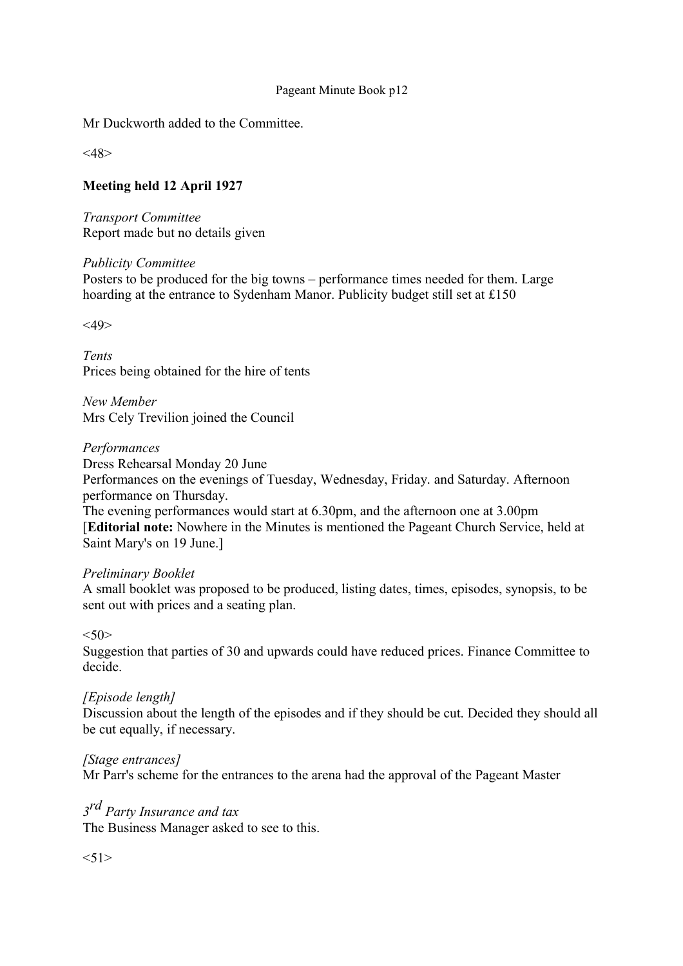Mr Duckworth added to the Committee.

 $<\!\!48\!\!>$ 

## **Meeting held 12 April 1927**

*Transport Committee* Report made but no details given

*Publicity Committee* Posters to be produced for the big towns – performance times needed for them. Large hoarding at the entrance to Sydenham Manor. Publicity budget still set at £150

 $<$ 49>

*Tents* Prices being obtained for the hire of tents

*New Member* Mrs Cely Trevilion joined the Council

### *Performances*

Dress Rehearsal Monday 20 June

Performances on the evenings of Tuesday, Wednesday, Friday. and Saturday. Afternoon performance on Thursday.

The evening performances would start at 6.30pm, and the afternoon one at 3.00pm [**Editorial note:** Nowhere in the Minutes is mentioned the Pageant Church Service, held at Saint Mary's on 19 June.]

### *Preliminary Booklet*

A small booklet was proposed to be produced, listing dates, times, episodes, synopsis, to be sent out with prices and a seating plan.

 $<50>$ 

Suggestion that parties of 30 and upwards could have reduced prices. Finance Committee to decide.

### *[Episode length]*

Discussion about the length of the episodes and if they should be cut. Decided they should all be cut equally, if necessary.

### *[Stage entrances]*

Mr Parr's scheme for the entrances to the arena had the approval of the Pageant Master

# *3 rd Party Insurance and tax*

The Business Manager asked to see to this.

 $< 51$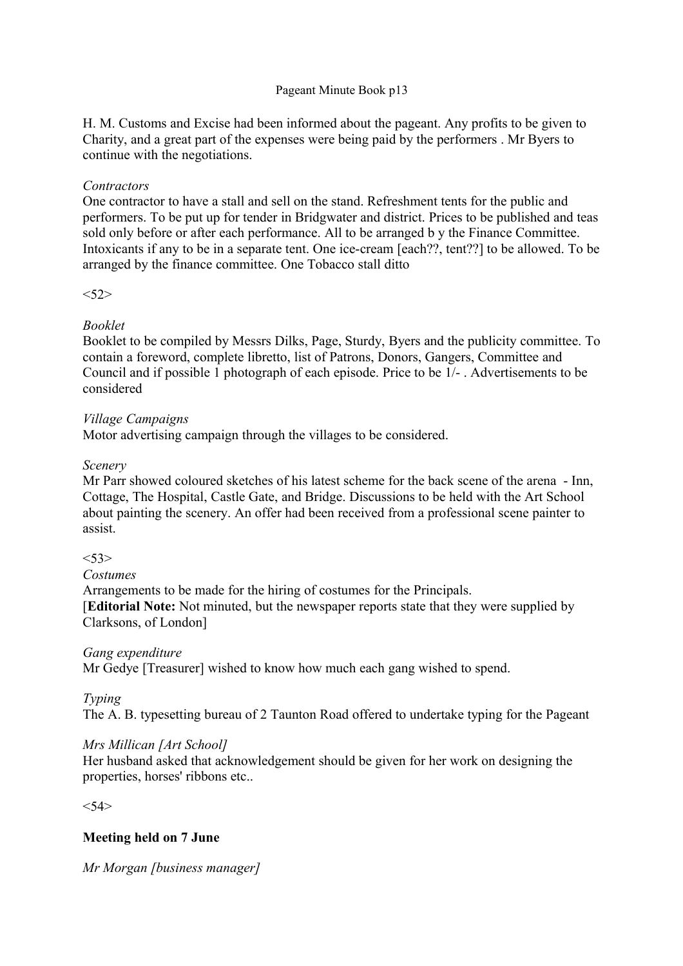H. M. Customs and Excise had been informed about the pageant. Any profits to be given to Charity, and a great part of the expenses were being paid by the performers . Mr Byers to continue with the negotiations.

### *Contractors*

One contractor to have a stall and sell on the stand. Refreshment tents for the public and performers. To be put up for tender in Bridgwater and district. Prices to be published and teas sold only before or after each performance. All to be arranged b y the Finance Committee. Intoxicants if any to be in a separate tent. One ice-cream [each??, tent??] to be allowed. To be arranged by the finance committee. One Tobacco stall ditto

 $<52>$ 

## *Booklet*

Booklet to be compiled by Messrs Dilks, Page, Sturdy, Byers and the publicity committee. To contain a foreword, complete libretto, list of Patrons, Donors, Gangers, Committee and Council and if possible 1 photograph of each episode. Price to be 1/- . Advertisements to be considered

## *Village Campaigns*

Motor advertising campaign through the villages to be considered.

### *Scenery*

Mr Parr showed coloured sketches of his latest scheme for the back scene of the arena - Inn, Cottage, The Hospital, Castle Gate, and Bridge. Discussions to be held with the Art School about painting the scenery. An offer had been received from a professional scene painter to assist.

### $<$ 53>

*Costumes*

Arrangements to be made for the hiring of costumes for the Principals. [**Editorial Note:** Not minuted, but the newspaper reports state that they were supplied by Clarksons, of London]

## *Gang expenditure*

Mr Gedye [Treasurer] wished to know how much each gang wished to spend.

## *Typing*

The A. B. typesetting bureau of 2 Taunton Road offered to undertake typing for the Pageant

## *Mrs Millican [Art School]*

Her husband asked that acknowledgement should be given for her work on designing the properties, horses' ribbons etc..

 $<54>$ 

## **Meeting held on 7 June**

*Mr Morgan [business manager]*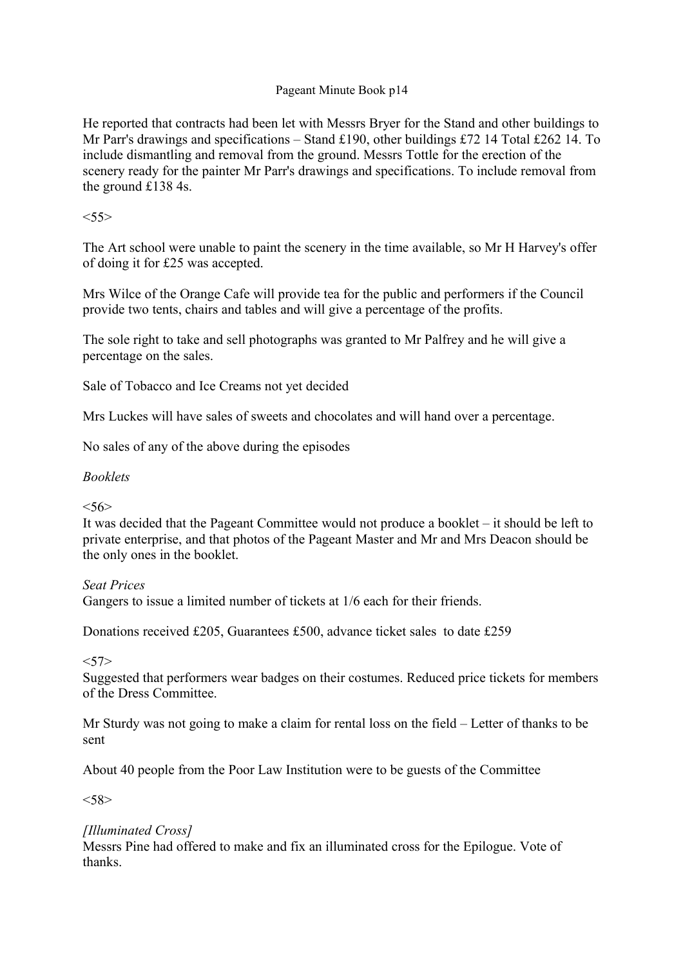He reported that contracts had been let with Messrs Bryer for the Stand and other buildings to Mr Parr's drawings and specifications – Stand £190, other buildings £72 14 Total £262 14. To include dismantling and removal from the ground. Messrs Tottle for the erection of the scenery ready for the painter Mr Parr's drawings and specifications. To include removal from the ground £138 4s.

## $<\!\!55\!\!>$

The Art school were unable to paint the scenery in the time available, so Mr H Harvey's offer of doing it for £25 was accepted.

Mrs Wilce of the Orange Cafe will provide tea for the public and performers if the Council provide two tents, chairs and tables and will give a percentage of the profits.

The sole right to take and sell photographs was granted to Mr Palfrey and he will give a percentage on the sales.

Sale of Tobacco and Ice Creams not yet decided

Mrs Luckes will have sales of sweets and chocolates and will hand over a percentage.

No sales of any of the above during the episodes

### *Booklets*

## $< 56$

It was decided that the Pageant Committee would not produce a booklet – it should be left to private enterprise, and that photos of the Pageant Master and Mr and Mrs Deacon should be the only ones in the booklet.

### *Seat Prices*

Gangers to issue a limited number of tickets at 1/6 each for their friends.

Donations received £205, Guarantees £500, advance ticket sales to date £259

### $<$ 57>

Suggested that performers wear badges on their costumes. Reduced price tickets for members of the Dress Committee.

Mr Sturdy was not going to make a claim for rental loss on the field – Letter of thanks to be sent

About 40 people from the Poor Law Institution were to be guests of the Committee

 $< 58$ 

## *[Illuminated Cross]*

Messrs Pine had offered to make and fix an illuminated cross for the Epilogue. Vote of thanks.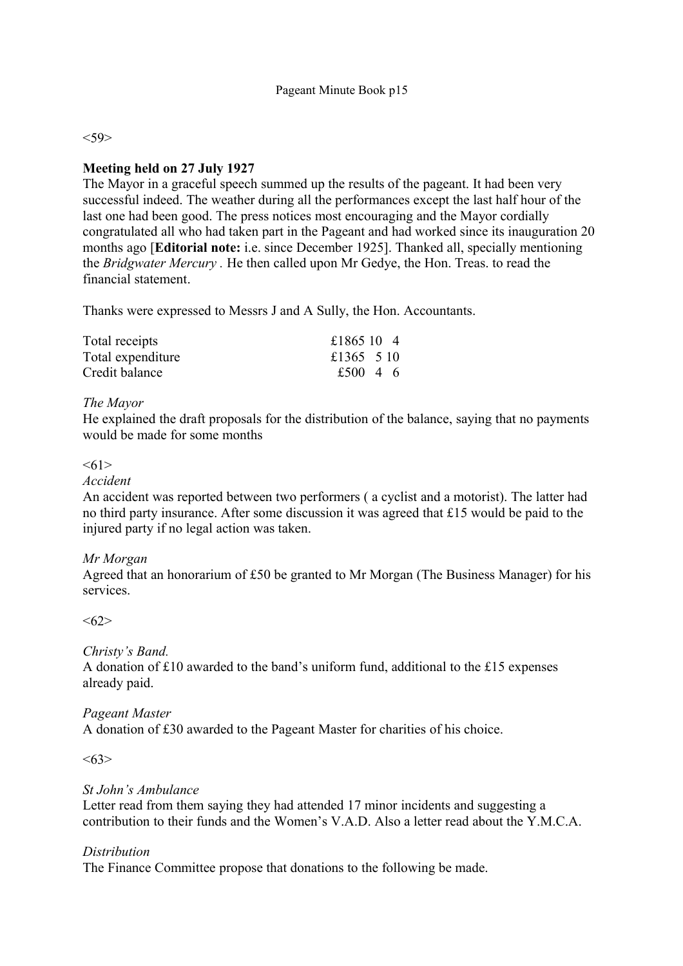$<$ 59>

### **Meeting held on 27 July 1927**

The Mayor in a graceful speech summed up the results of the pageant. It had been very successful indeed. The weather during all the performances except the last half hour of the last one had been good. The press notices most encouraging and the Mayor cordially congratulated all who had taken part in the Pageant and had worked since its inauguration 20 months ago [**Editorial note:** i.e. since December 1925]. Thanked all, specially mentioning the *Bridgwater Mercury .* He then called upon Mr Gedye, the Hon. Treas. to read the financial statement.

Thanks were expressed to Messrs J and A Sully, the Hon. Accountants.

| Total receipts    | £1865 10 4 |  |
|-------------------|------------|--|
| Total expenditure | £1365 5 10 |  |
| Credit balance    | £500 4 6   |  |

### *The Mayor*

He explained the draft proposals for the distribution of the balance, saying that no payments would be made for some months

#### $<61>$

*Accident*

An accident was reported between two performers ( a cyclist and a motorist). The latter had no third party insurance. After some discussion it was agreed that £15 would be paid to the injured party if no legal action was taken.

### *Mr Morgan*

Agreed that an honorarium of £50 be granted to Mr Morgan (The Business Manager) for his services.

<62>

### *Christy's Band.*

A donation of £10 awarded to the band's uniform fund, additional to the £15 expenses already paid.

#### *Pageant Master*

A donation of £30 awarded to the Pageant Master for charities of his choice.

 $<63>$ 

### *St John's Ambulance*

Letter read from them saying they had attended 17 minor incidents and suggesting a contribution to their funds and the Women's V.A.D. Also a letter read about the Y.M.C.A.

### *Distribution*

The Finance Committee propose that donations to the following be made.